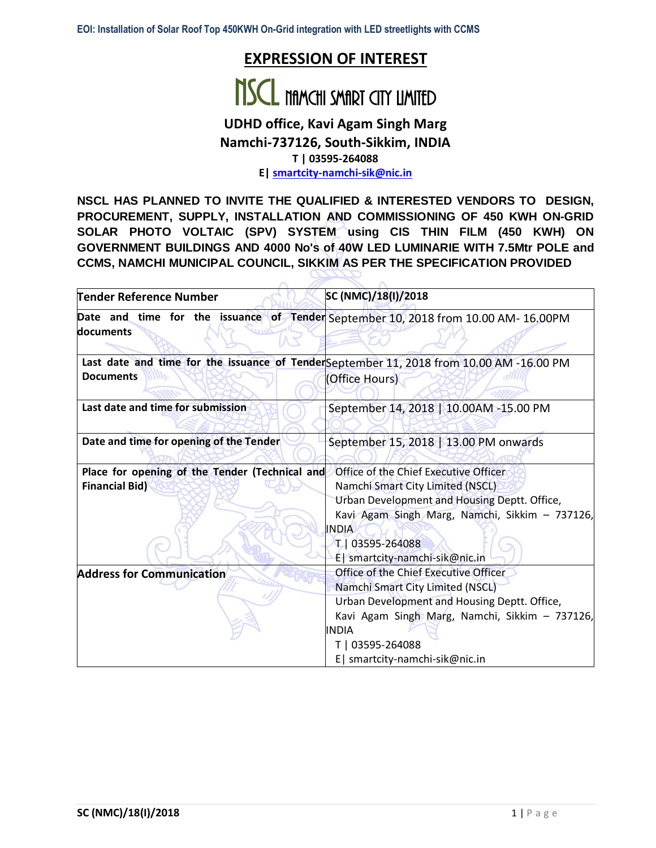# **EXPRESSION OF INTEREST**



# **UDHD office, Kavi Agam Singh Marg Namchi-737126, South-Sikkim, INDIA**

**T | 03595-264088**

**E[| smartcity-namchi-sik@nic.in](mailto:smartcity-namchi-sik@nic.in)**

**NSCL HAS PLANNED TO INVITE THE QUALIFIED & INTERESTED VENDORS TO DESIGN, PROCUREMENT, SUPPLY, INSTALLATION AND COMMISSIONING OF 450 KWH ON-GRID SOLAR PHOTO VOLTAIC (SPV) SYSTEM using CIS THIN FILM (450 KWH) ON GOVERNMENT BUILDINGS AND 4000 No's of 40W LED LUMINARIE WITH 7.5Mtr POLE and CCMS, NAMCHI MUNICIPAL COUNCIL, SIKKIM AS PER THE SPECIFICATION PROVIDED**

| Tender Reference Number                                                 | SC (NMC)/18(I)/2018                                                                                                                                                                                                                              |  |  |  |
|-------------------------------------------------------------------------|--------------------------------------------------------------------------------------------------------------------------------------------------------------------------------------------------------------------------------------------------|--|--|--|
| ldocuments                                                              | Date and time for the issuance of Tender September 10, 2018 from 10.00 AM- 16.00PM                                                                                                                                                               |  |  |  |
| <b>Documents</b>                                                        | Last date and time for the issuance of TenderSeptember 11, 2018 from 10.00 AM -16.00 PM<br>(Office Hours)                                                                                                                                        |  |  |  |
| Last date and time for submission                                       | September 14, 2018   10.00AM -15.00 PM                                                                                                                                                                                                           |  |  |  |
| Date and time for opening of the Tender                                 | September 15, 2018   13.00 PM onwards                                                                                                                                                                                                            |  |  |  |
| Place for opening of the Tender (Technical and<br><b>Financial Bid)</b> | Office of the Chief Executive Officer<br>Namchi Smart City Limited (NSCL)<br>Urban Development and Housing Deptt. Office,<br>Kavi Agam Singh Marg, Namchi, Sikkim - 737126,<br><b>INDIA</b><br>T 03595-264088<br>E   smartcity-namchi-sik@nic.in |  |  |  |
| <b>Address for Communication</b>                                        | Office of the Chief Executive Officer<br>Namchi Smart City Limited (NSCL)<br>Urban Development and Housing Deptt. Office,<br>Kavi Agam Singh Marg, Namchi, Sikkim - 737126,<br>INDIA<br>T   03595-264088<br>E   smartcity-namchi-sik@nic.in      |  |  |  |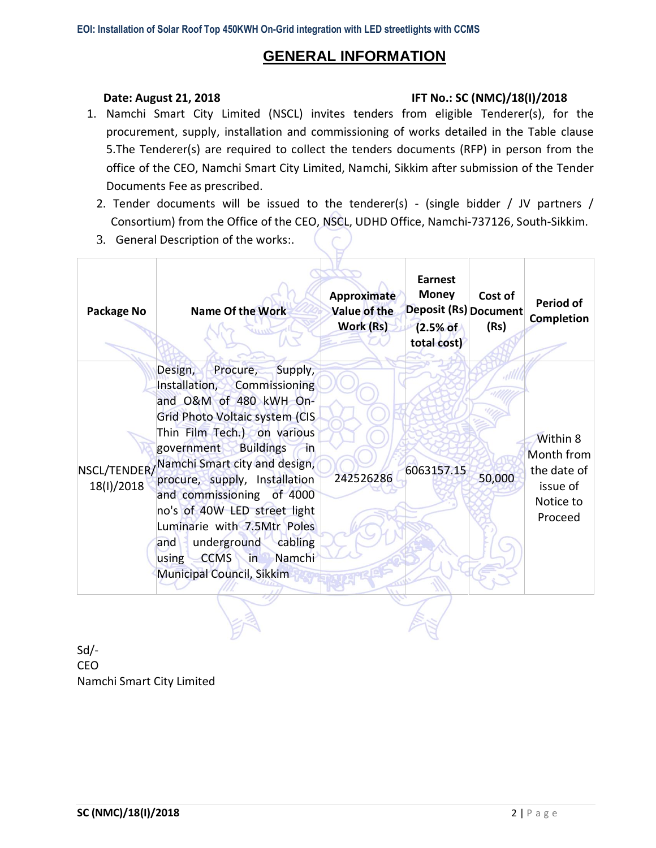# **GENERAL INFORMATION**

### **Date: August 21, 2018 IFT No.: SC (NMC)/18(I)/2018**

- 1. Namchi Smart City Limited (NSCL) invites tenders from eligible Tenderer(s), for the procurement, supply, installation and commissioning of works detailed in the Table clause 5.The Tenderer(s) are required to collect the tenders documents (RFP) in person from the office of the CEO, Namchi Smart City Limited, Namchi, Sikkim after submission of the Tender Documents Fee as prescribed.
	- 2. Tender documents will be issued to the tenderer(s) (single bidder / JV partners / Consortium) from the Office of the CEO, NSCL, UDHD Office, Namchi-737126, South-Sikkim.
	- 3. General Description of the works:.

| Package No                 | <b>Name Of the Work</b>                                                                                                                                                                                                                                                                                                                                                                                                                                                          | Approximate<br><b>Value of the</b><br>Work (Rs) | <b>Earnest</b><br><b>Money</b><br>Deposit (Rs) Document<br>(2.5% of<br>total cost) | Cost of<br>(Rs) | <b>Period of</b><br><b>Completion</b>                                     |
|----------------------------|----------------------------------------------------------------------------------------------------------------------------------------------------------------------------------------------------------------------------------------------------------------------------------------------------------------------------------------------------------------------------------------------------------------------------------------------------------------------------------|-------------------------------------------------|------------------------------------------------------------------------------------|-----------------|---------------------------------------------------------------------------|
| NSCL/TENDER/<br>18(I)/2018 | Design,<br>Procure,<br>Supply,<br>Installation,<br>Commissioning<br>and O&M of 480 kWH On-<br>Grid Photo Voltaic system (CIS<br>Thin Film Tech.) on various<br>government<br><b>Buildings</b><br>-in<br>Namchi Smart city and design,<br>procure, supply, Installation<br>and commissioning of 4000<br>no's of 40W LED street light<br>Luminarie with 7.5Mtr Poles<br>underground<br>cabling<br>and<br><b>CCMS</b><br>Namchi<br>$\sqrt{2}$<br>using<br>Municipal Council, Sikkim | 242526286                                       | 6063157.15                                                                         | 50,000          | Within 8<br>Month from<br>the date of<br>issue of<br>Notice to<br>Proceed |

Sd/- CEO Namchi Smart City Limited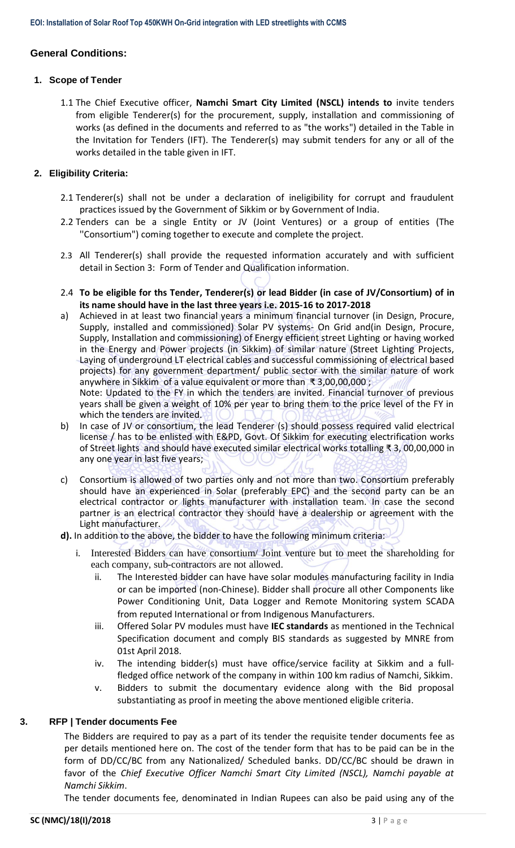# **General Conditions:**

#### **1. Scope of Tender**

1.1 The Chief Executive officer, **Namchi Smart City Limited (NSCL) intends to** invite tenders from eligible Tenderer(s) for the procurement, supply, installation and commissioning of works (as defined in the documents and referred to as "the works") detailed in the Table in the Invitation for Tenders (IFT). The Tenderer(s) may submit tenders for any or all of the works detailed in the table given in IFT.

## **2. Eligibility Criteria:**

- 2.1 Tenderer(s) shall not be under a declaration of ineligibility for corrupt and fraudulent practices issued by the Government of Sikkim or by Government of India.
- 2.2 Tenders can be a single Entity or JV (Joint Ventures) or a group of entities (The ''Consortium") coming together to execute and complete the project.
- 2.3 All Tenderer(s) shall provide the requested information accurately and with sufficient detail in Section 3: Form of Tender and Qualification information.
- 2.4 **To be eligible for ths Tender, Tenderer(s) or lead Bidder (in case of JV/Consortium) of in its name should have in the last three years i.e. 2015-16 to 2017-2018**
- a) Achieved in at least two financial years a minimum financial turnover (in Design, Procure, Supply, installed and commissioned) Solar PV systems- On Grid and(in Design, Procure, Supply, Installation and commissioning) of Energy efficient street Lighting or having worked in the Energy and Power projects (in Sikkim) of similar nature (Street Lighting Projects, Laying of underground LT electrical cables and successful commissioning of electrical based projects) for any government department/ public sector with the similar nature of work anywhere in Sikkim of a value equivalent or more than ₹ 3,00,00,000 ; Note: Updated to the FY in which the tenders are invited. Financial turnover of previous

years shall be given a weight of 10% per year to bring them to the price level of the FY in which the tenders are invited.

- b) In case of JV or consortium, the lead Tenderer (s) should possess required valid electrical license / has to be enlisted with E&PD, Govt. Of Sikkim for executing electrification works of Street lights and should have executed similar electrical works totalling ₹ 3, 00,00,000 in any one year in last five years;
- c) Consortium is allowed of two parties only and not more than two. Consortium preferably should have an experienced in Solar (preferably EPC) and the second party can be an electrical contractor or lights manufacturer with installation team. In case the second partner is an electrical contractor they should have a dealership or agreement with the Light manufacturer.
- **d).** In addition to the above, the bidder to have the following minimum criteria:
	- i. Interested Bidders can have consortium/ Joint venture but to meet the shareholding for each company, sub-contractors are not allowed.
		- ii. The Interested bidder can have have solar modules manufacturing facility in India or can be imported (non-Chinese). Bidder shall procure all other Components like Power Conditioning Unit, Data Logger and Remote Monitoring system SCADA from reputed International or from Indigenous Manufacturers.
		- iii. Offered Solar PV modules must have **IEC standards** as mentioned in the Technical Specification document and comply BIS standards as suggested by MNRE from 01st April 2018.
		- iv. The intending bidder(s) must have office/service facility at Sikkim and a fullfledged office network of the company in within 100 km radius of Namchi, Sikkim.
		- v. Bidders to submit the documentary evidence along with the Bid proposal substantiating as proof in meeting the above mentioned eligible criteria.

### **3. RFP | Tender documents Fee**

The Bidders are required to pay as a part of its tender the requisite tender documents fee as per details mentioned here on. The cost of the tender form that has to be paid can be in the form of DD/CC/BC from any Nationalized/ Scheduled banks. DD/CC/BC should be drawn in favor of the *Chief Executive Officer Namchi Smart City Limited (NSCL), Namchi payable at Namchi Sikkim*.

The tender documents fee, denominated in Indian Rupees can also be paid using any of the